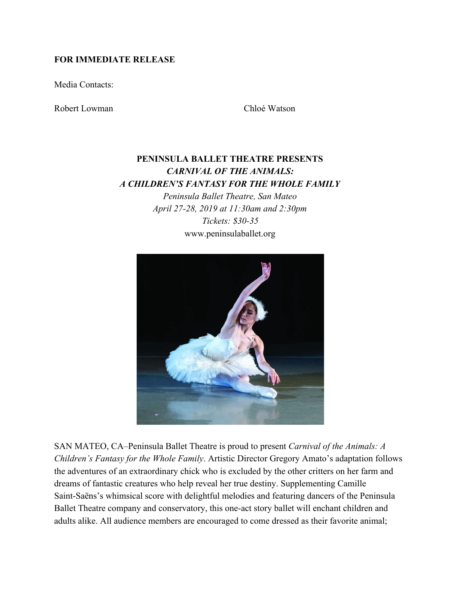#### **FOR IMMEDIATE RELEASE**

Media Contacts:

Robert Lowman Chloé Watson

# **PENINSULA BALLET THEATRE PRESENTS** *CARNIVAL OF THE ANIMALS: A CHILDREN'S FANTASY FOR THE WHOLE FAMILY*

*Peninsula Ballet Theatre, San Mateo April 27-28, 2019 at 11:30am and 2:30pm Tickets: \$30-35* www.peninsulaballet.org



SAN MATEO, CA–Peninsula Ballet Theatre is proud to present *Carnival of the Animals: A Children's Fantasy for the Whole Family*. Artistic Director Gregory Amato's adaptation follows the adventures of an extraordinary chick who is excluded by the other critters on her farm and dreams of fantastic creatures who help reveal her true destiny. Supplementing Camille Saint-Saëns's whimsical score with delightful melodies and featuring dancers of the Peninsula Ballet Theatre company and conservatory, this one-act story ballet will enchant children and adults alike. All audience members are encouraged to come dressed as their favorite animal;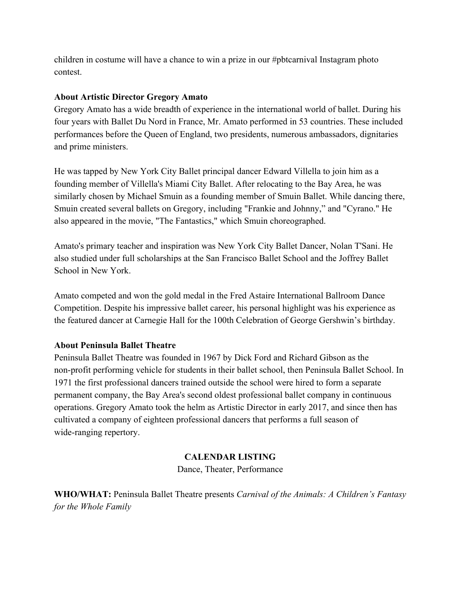children in costume will have a chance to win a prize in our #pbtcarnival Instagram photo contest.

### **About Artistic Director Gregory Amato**

Gregory Amato has a wide breadth of experience in the international world of ballet. During his four years with Ballet Du Nord in France, Mr. Amato performed in 53 countries. These included performances before the Queen of England, two presidents, numerous ambassadors, dignitaries and prime ministers.

He was tapped by New York City Ballet principal dancer Edward Villella to join him as a founding member of Villella's Miami City Ballet. After relocating to the Bay Area, he was similarly chosen by Michael Smuin as a founding member of Smuin Ballet. While dancing there, Smuin created several ballets on Gregory, including "Frankie and Johnny," and "Cyrano." He also appeared in the movie, "The Fantastics," which Smuin choreographed.

Amato's primary teacher and inspiration was New York City Ballet Dancer, Nolan T'Sani. He also studied under full scholarships at the San Francisco Ballet School and the Joffrey Ballet School in New York.

Amato competed and won the gold medal in the Fred Astaire International Ballroom Dance Competition. Despite his impressive ballet career, his personal highlight was his experience as the featured dancer at Carnegie Hall for the 100th Celebration of George Gershwin's birthday.

#### **About Peninsula Ballet Theatre**

Peninsula Ballet Theatre was founded in 1967 by Dick Ford and Richard Gibson as the non-profit performing vehicle for students in their ballet school, then Peninsula Ballet School. In 1971 the first professional dancers trained outside the school were hired to form a separate permanent company, the Bay Area's second oldest professional ballet company in continuous operations. Gregory Amato took the helm as Artistic Director in early 2017, and since then has cultivated a company of eighteen professional dancers that performs a full season of wide-ranging repertory.

## **CALENDAR LISTING**

Dance, Theater, Performance

**WHO/WHAT:** Peninsula Ballet Theatre presents *Carnival of the Animals: A Children's Fantasy for the Whole Family*